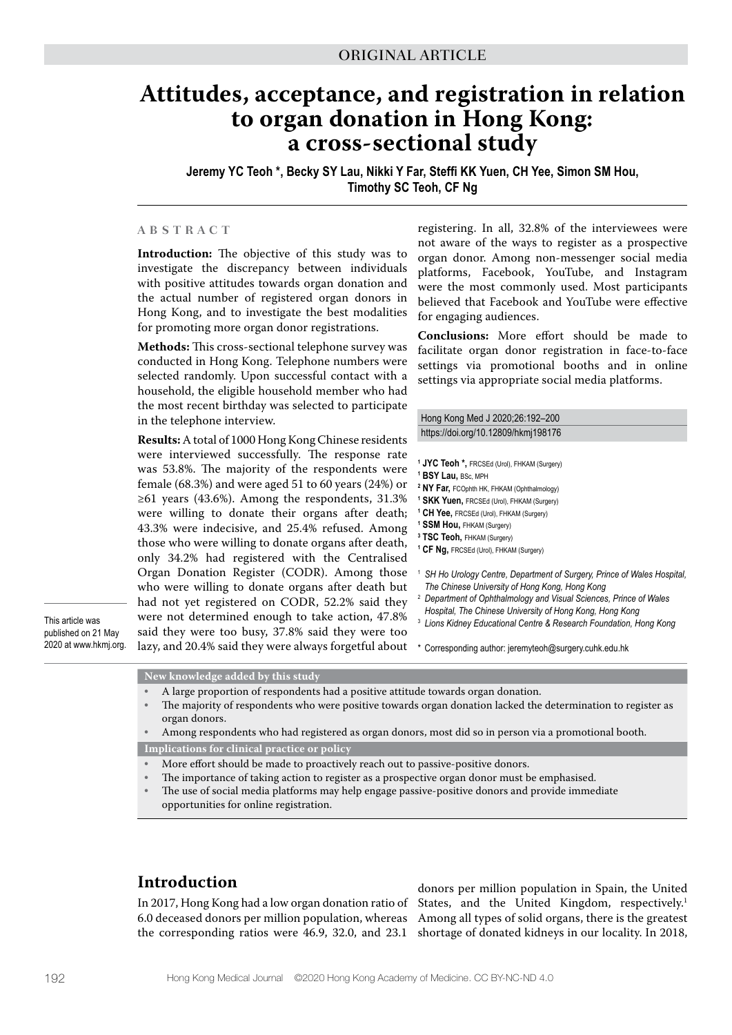# **Attitudes, acceptance, and registration in relation to organ donation in Hong Kong: a cross-sectional study**

**Jeremy YC Teoh \*, Becky SY Lau, Nikki Y Far, Steffi KK Yuen, CH Yee, Simon SM Hou, Timothy SC Teoh, CF Ng**

#### **ABSTRACT**

**Introduction:** The objective of this study was to investigate the discrepancy between individuals with positive attitudes towards organ donation and the actual number of registered organ donors in Hong Kong, and to investigate the best modalities for promoting more organ donor registrations.

**Methods:** This cross-sectional telephone survey was conducted in Hong Kong. Telephone numbers were selected randomly. Upon successful contact with a household, the eligible household member who had the most recent birthday was selected to participate in the telephone interview.

**Results:** A total of 1000 Hong Kong Chinese residents were interviewed successfully. The response rate was 53.8%. The majority of the respondents were female (68.3%) and were aged 51 to 60 years (24%) or  $≥61$  years (43.6%). Among the respondents, 31.3% were willing to donate their organs after death; 43.3% were indecisive, and 25.4% refused. Among those who were willing to donate organs after death, only 34.2% had registered with the Centralised Organ Donation Register (CODR). Among those who were willing to donate organs after death but had not yet registered on CODR, 52.2% said they were not determined enough to take action, 47.8% said they were too busy, 37.8% said they were too lazy, and 20.4% said they were always forgetful about

registering. In all, 32.8% of the interviewees were not aware of the ways to register as a prospective organ donor. Among non-messenger social media platforms, Facebook, YouTube, and Instagram were the most commonly used. Most participants believed that Facebook and YouTube were effective for engaging audiences.

**Conclusions:** More effort should be made to facilitate organ donor registration in face-to-face settings via promotional booths and in online settings via appropriate social media platforms.

Hong Kong Med J 2020;26:192–200 https://doi.org/10.12809/hkmj198176

- **1 JYC Teoh \*,** FRCSEd (Urol), FHKAM (Surgery)
- **1 BSY Lau,** BSc, MPH
- **2 NY Far,** FCOphth HK, FHKAM (Ophthalmology) **1 SKK Yuen,** FRCSEd (Urol), FHKAM (Surgery)
- **1 CH Yee,** FRCSEd (Urol), FHKAM (Surgery)
- **1 SSM Hou,** FHKAM (Surgery)
- **3 TSC Teoh,** FHKAM (Surgery)
- **1 CF Ng,** FRCSEd (Urol), FHKAM (Surgery)
- <sup>1</sup> *SH Ho Urology Centre, Department of Surgery, Prince of Wales Hospital, The Chinese University of Hong Kong, Hong Kong*
- <sup>2</sup> *Department of Ophthalmology and Visual Sciences, Prince of Wales*
- *Hospital, The Chinese University of Hong Kong, Hong Kong*
- <sup>3</sup> *Lions Kidney Educational Centre & Research Foundation, Hong Kong*
- \* Corresponding author: jeremyteoh@surgery.cuhk.edu.hk

This article was published on 21 May 2020 at www.hkmj.org.

**New knowledge added by this study**

- A large proportion of respondents had a positive attitude towards organ donation.
- The majority of respondents who were positive towards organ donation lacked the determination to register as organ donors.

• Among respondents who had registered as organ donors, most did so in person via a promotional booth. **Implications for clinical practice or policy**

- More effort should be made to proactively reach out to passive-positive donors.
- The importance of taking action to register as a prospective organ donor must be emphasised.
- The use of social media platforms may help engage passive-positive donors and provide immediate opportunities for online registration.

### **Introduction**

In 2017, Hong Kong had a low organ donation ratio of 6.0 deceased donors per million population, whereas the corresponding ratios were 46.9, 32.0, and 23.1

donors per million population in Spain, the United States, and the United Kingdom, respectively.<sup>1</sup> Among all types of solid organs, there is the greatest shortage of donated kidneys in our locality. In 2018,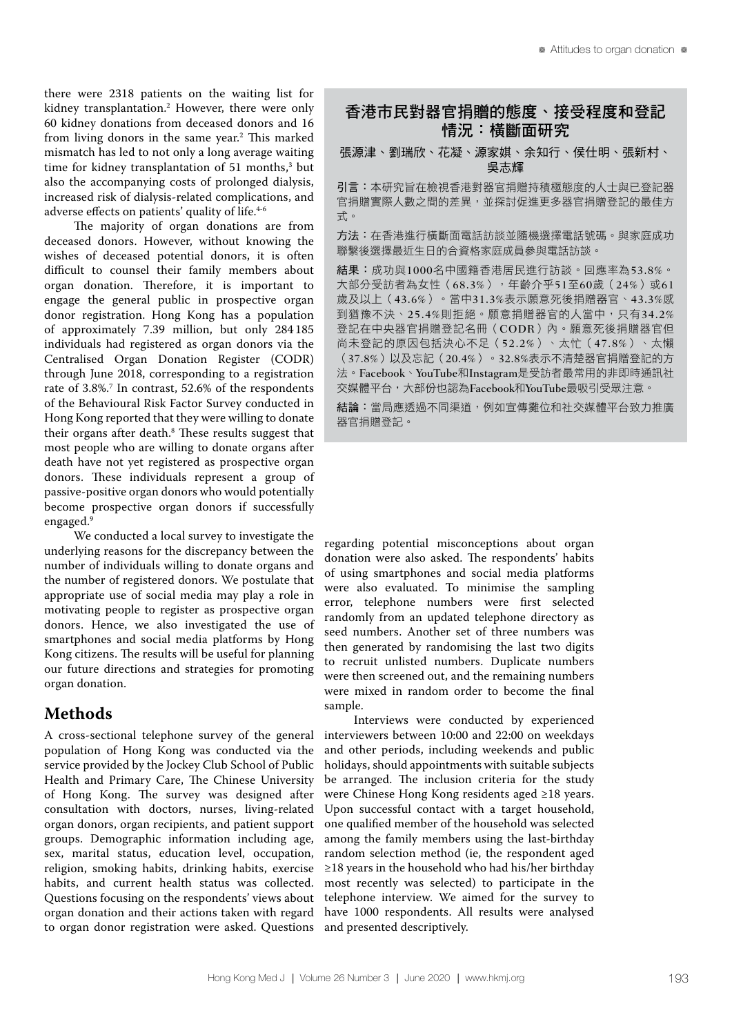there were 2318 patients on the waiting list for kidney transplantation.2 However, there were only 60 kidney donations from deceased donors and 16 from living donors in the same year.<sup>2</sup> This marked mismatch has led to not only a long average waiting time for kidney transplantation of 51 months,<sup>3</sup> but also the accompanying costs of prolonged dialysis, increased risk of dialysis-related complications, and adverse effects on patients' quality of life.<sup>4-6</sup>

The majority of organ donations are from deceased donors. However, without knowing the wishes of deceased potential donors, it is often difficult to counsel their family members about organ donation. Therefore, it is important to engage the general public in prospective organ donor registration. Hong Kong has a population of approximately 7.39 million, but only 284 185 individuals had registered as organ donors via the Centralised Organ Donation Register (CODR) through June 2018, corresponding to a registration rate of 3.8%.7 In contrast, 52.6% of the respondents of the Behavioural Risk Factor Survey conducted in Hong Kong reported that they were willing to donate their organs after death. $^{\rm 8}$  These results suggest that most people who are willing to donate organs after death have not yet registered as prospective organ donors. These individuals represent a group of passive-positive organ donors who would potentially become prospective organ donors if successfully engaged.<sup>9</sup>

We conducted a local survey to investigate the underlying reasons for the discrepancy between the number of individuals willing to donate organs and the number of registered donors. We postulate that appropriate use of social media may play a role in motivating people to register as prospective organ donors. Hence, we also investigated the use of smartphones and social media platforms by Hong Kong citizens. The results will be useful for planning our future directions and strategies for promoting organ donation.

### **Methods**

A cross-sectional telephone survey of the general population of Hong Kong was conducted via the service provided by the Jockey Club School of Public Health and Primary Care, The Chinese University of Hong Kong. The survey was designed after consultation with doctors, nurses, living-related organ donors, organ recipients, and patient support groups. Demographic information including age, sex, marital status, education level, occupation, religion, smoking habits, drinking habits, exercise habits, and current health status was collected. Questions focusing on the respondents' views about organ donation and their actions taken with regard to organ donor registration were asked. Questions

## 香港市民對器官捐贈的態度、接受程度和登記 情況:橫斷面研究

張源津、劉瑞欣、花凝、源家娸、余知行、侯仕明、張新村、 吳志輝

引言:本研究旨在檢視香港對器官捐贈持積極態度的人士與已登記器 官捐贈實際人數之間的差異,並探討促進更多器官捐贈登記的最佳方 式。

方法:在香港進行橫斷面電話訪談並隨機選擇電話號碼。與家庭成功 聯繫後選擇最近生日的合資格家庭成員參與電話訪談。

結果:成功與1000名中國籍香港居民進行訪談。回應率為53.8%。 大部分受訪者為女性 (68.3%),年齡介乎51至60歲 (24%)或61 歲及以上(43.6%)。當中31.3%表示願意死後捐贈器官、43.3%感 到猶豫不決、25.4%則拒絕。願意捐贈器官的人當中,只有34.2% 登記在中央器官捐贈登記名冊(CODR)內。願意死後捐贈器官但 尚未登記的原因包括決心不足(52.2%)、太忙(47.8%)、太懶 (37.8%)以及忘記(20.4%)。32.8%表示不清楚器官捐贈登記的方 法。Facebook、YouTube和Instagram是受訪者最常用的非即時通訊社 交媒體平台,大部份也認為Facebook和YouTube最吸引受眾注意。

結論:當局應透過不同渠道,例如宣傳攤位和社交媒體平台致力推廣 器官捐贈登記。

regarding potential misconceptions about organ donation were also asked. The respondents' habits of using smartphones and social media platforms were also evaluated. To minimise the sampling error, telephone numbers were first selected randomly from an updated telephone directory as seed numbers. Another set of three numbers was then generated by randomising the last two digits to recruit unlisted numbers. Duplicate numbers were then screened out, and the remaining numbers were mixed in random order to become the final sample.

Interviews were conducted by experienced interviewers between 10:00 and 22:00 on weekdays and other periods, including weekends and public holidays, should appointments with suitable subjects be arranged. The inclusion criteria for the study were Chinese Hong Kong residents aged ≥18 years. Upon successful contact with a target household, one qualified member of the household was selected among the family members using the last-birthday random selection method (ie, the respondent aged ≥18 years in the household who had his/her birthday most recently was selected) to participate in the telephone interview. We aimed for the survey to have 1000 respondents. All results were analysed and presented descriptively.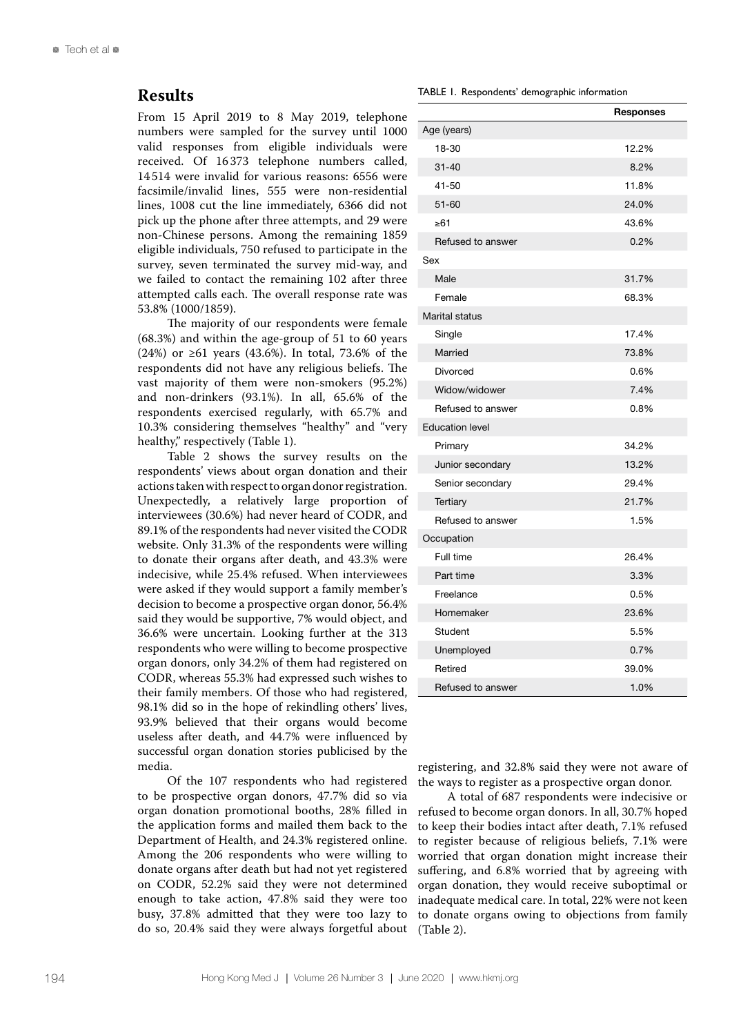### **Results**

From 15 April 2019 to 8 May 2019, telephone numbers were sampled for the survey until 1000 valid responses from eligible individuals were received. Of 16 373 telephone numbers called, 14 514 were invalid for various reasons: 6556 were facsimile/invalid lines, 555 were non-residential lines, 1008 cut the line immediately, 6366 did not pick up the phone after three attempts, and 29 were non-Chinese persons. Among the remaining 1859 eligible individuals, 750 refused to participate in the survey, seven terminated the survey mid-way, and we failed to contact the remaining 102 after three attempted calls each. The overall response rate was 53.8% (1000/1859).

The majority of our respondents were female (68.3%) and within the age-group of 51 to 60 years (24%) or ≥61 years (43.6%). In total, 73.6% of the respondents did not have any religious beliefs. The vast majority of them were non-smokers (95.2%) and non-drinkers (93.1%). In all, 65.6% of the respondents exercised regularly, with 65.7% and 10.3% considering themselves "healthy" and "very healthy," respectively (Table 1).

Table 2 shows the survey results on the respondents' views about organ donation and their actions taken with respect to organ donor registration. Unexpectedly, a relatively large proportion of interviewees (30.6%) had never heard of CODR, and 89.1% of the respondents had never visited the CODR website. Only 31.3% of the respondents were willing to donate their organs after death, and 43.3% were indecisive, while 25.4% refused. When interviewees were asked if they would support a family member's decision to become a prospective organ donor, 56.4% said they would be supportive, 7% would object, and 36.6% were uncertain. Looking further at the 313 respondents who were willing to become prospective organ donors, only 34.2% of them had registered on CODR, whereas 55.3% had expressed such wishes to their family members. Of those who had registered, 98.1% did so in the hope of rekindling others' lives, 93.9% believed that their organs would become useless after death, and 44.7% were influenced by successful organ donation stories publicised by the media.

Of the 107 respondents who had registered to be prospective organ donors, 47.7% did so via organ donation promotional booths, 28% filled in the application forms and mailed them back to the Department of Health, and 24.3% registered online. Among the 206 respondents who were willing to donate organs after death but had not yet registered on CODR, 52.2% said they were not determined enough to take action, 47.8% said they were too busy, 37.8% admitted that they were too lazy to do so, 20.4% said they were always forgetful about

TABLE 1. Respondents' demographic information

|                        | <b>Responses</b> |
|------------------------|------------------|
| Age (years)            |                  |
| 18-30                  | 12.2%            |
| $31 - 40$              | 8.2%             |
| $41 - 50$              | 11.8%            |
| $51 - 60$              | 24.0%            |
| $\geq 61$              | 43.6%            |
| Refused to answer      | 0.2%             |
| Sex                    |                  |
| Male                   | 31.7%            |
| Female                 | 68.3%            |
| Marital status         |                  |
| Single                 | 17.4%            |
| Married                | 73.8%            |
| <b>Divorced</b>        | 0.6%             |
| Widow/widower          | 7.4%             |
| Refused to answer      | 0.8%             |
| <b>Education level</b> |                  |
| Primary                | 34.2%            |
| Junior secondary       | 13.2%            |
| Senior secondary       | 29.4%            |
| Tertiary               | 21.7%            |
| Refused to answer      | 1.5%             |
| Occupation             |                  |
| Full time              | 26.4%            |
| Part time              | 3.3%             |
| Freelance              | 0.5%             |
| Homemaker              | 23.6%            |
| Student                | 5.5%             |
| Unemployed             | 0.7%             |
| Retired                | 39.0%            |
| Refused to answer      | 1.0%             |

registering, and 32.8% said they were not aware of the ways to register as a prospective organ donor.

A total of 687 respondents were indecisive or refused to become organ donors. In all, 30.7% hoped to keep their bodies intact after death, 7.1% refused to register because of religious beliefs, 7.1% were worried that organ donation might increase their suffering, and 6.8% worried that by agreeing with organ donation, they would receive suboptimal or inadequate medical care. In total, 22% were not keen to donate organs owing to objections from family (Table 2).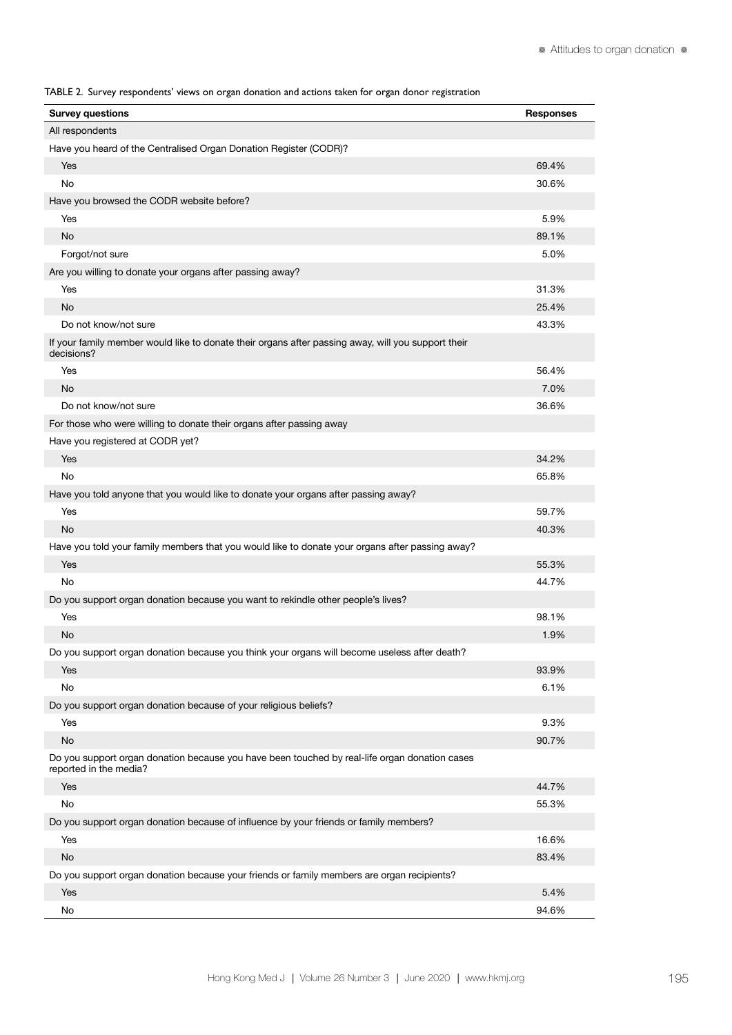TABLE 2. Survey respondents' views on organ donation and actions taken for organ donor registration

| <b>Survey questions</b>                                                                                                 | <b>Responses</b> |
|-------------------------------------------------------------------------------------------------------------------------|------------------|
| All respondents                                                                                                         |                  |
| Have you heard of the Centralised Organ Donation Register (CODR)?                                                       |                  |
| Yes                                                                                                                     | 69.4%            |
| No                                                                                                                      | 30.6%            |
| Have you browsed the CODR website before?                                                                               |                  |
| Yes                                                                                                                     | 5.9%             |
| No                                                                                                                      | 89.1%            |
| Forgot/not sure                                                                                                         | 5.0%             |
| Are you willing to donate your organs after passing away?                                                               |                  |
| Yes                                                                                                                     | 31.3%            |
| No                                                                                                                      | 25.4%            |
| Do not know/not sure                                                                                                    | 43.3%            |
| If your family member would like to donate their organs after passing away, will you support their<br>decisions?        |                  |
| Yes                                                                                                                     | 56.4%            |
| No                                                                                                                      | 7.0%             |
| Do not know/not sure                                                                                                    | 36.6%            |
| For those who were willing to donate their organs after passing away                                                    |                  |
| Have you registered at CODR yet?                                                                                        |                  |
| Yes                                                                                                                     | 34.2%            |
| No                                                                                                                      | 65.8%            |
| Have you told anyone that you would like to donate your organs after passing away?                                      |                  |
| Yes                                                                                                                     | 59.7%            |
| No                                                                                                                      | 40.3%            |
| Have you told your family members that you would like to donate your organs after passing away?                         |                  |
| Yes                                                                                                                     | 55.3%            |
| No                                                                                                                      | 44.7%            |
| Do you support organ donation because you want to rekindle other people's lives?                                        |                  |
| Yes                                                                                                                     | 98.1%            |
| No                                                                                                                      | 1.9%             |
| Do you support organ donation because you think your organs will become useless after death?                            |                  |
| Yes                                                                                                                     | 93.9%            |
| No                                                                                                                      | 6.1%             |
| Do you support organ donation because of your religious beliefs?                                                        |                  |
| Yes                                                                                                                     | 9.3%             |
| <b>No</b>                                                                                                               | 90.7%            |
| Do you support organ donation because you have been touched by real-life organ donation cases<br>reported in the media? |                  |
| Yes                                                                                                                     | 44.7%            |
| No                                                                                                                      | 55.3%            |
| Do you support organ donation because of influence by your friends or family members?                                   |                  |
| Yes                                                                                                                     | 16.6%            |
| <b>No</b>                                                                                                               | 83.4%            |
| Do you support organ donation because your friends or family members are organ recipients?                              |                  |
| Yes                                                                                                                     | 5.4%             |
| No                                                                                                                      | 94.6%            |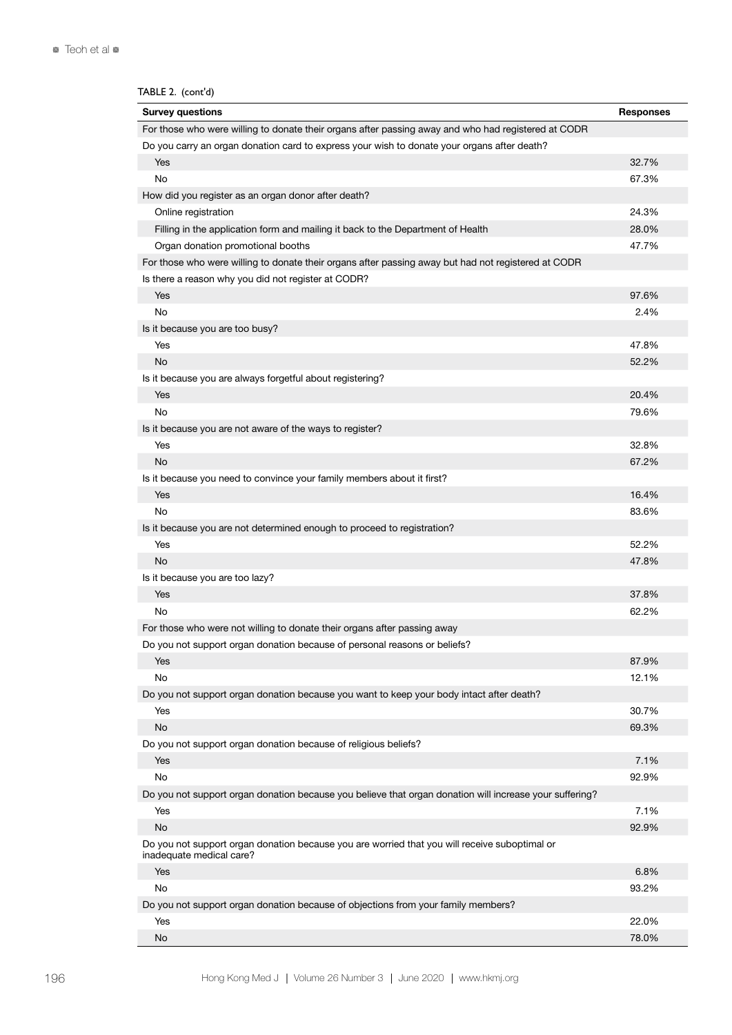| TABLE 2. (cont'd)                                                                                                         |                  |
|---------------------------------------------------------------------------------------------------------------------------|------------------|
| <b>Survey questions</b>                                                                                                   | <b>Responses</b> |
| For those who were willing to donate their organs after passing away and who had registered at CODR                       |                  |
| Do you carry an organ donation card to express your wish to donate your organs after death?                               |                  |
| Yes                                                                                                                       | 32.7%            |
| No                                                                                                                        | 67.3%            |
| How did you register as an organ donor after death?                                                                       |                  |
| Online registration                                                                                                       | 24.3%            |
| Filling in the application form and mailing it back to the Department of Health                                           | 28.0%            |
| Organ donation promotional booths                                                                                         | 47.7%            |
| For those who were willing to donate their organs after passing away but had not registered at CODR                       |                  |
| Is there a reason why you did not register at CODR?                                                                       |                  |
| Yes                                                                                                                       | 97.6%            |
| No                                                                                                                        | 2.4%             |
| Is it because you are too busy?                                                                                           |                  |
| Yes                                                                                                                       | 47.8%            |
| No                                                                                                                        | 52.2%            |
| Is it because you are always forgetful about registering?                                                                 |                  |
| Yes                                                                                                                       | 20.4%            |
| No                                                                                                                        | 79.6%            |
| Is it because you are not aware of the ways to register?                                                                  |                  |
| Yes                                                                                                                       | 32.8%            |
| No                                                                                                                        | 67.2%            |
| Is it because you need to convince your family members about it first?                                                    |                  |
| Yes                                                                                                                       | 16.4%            |
| No                                                                                                                        | 83.6%            |
| Is it because you are not determined enough to proceed to registration?                                                   |                  |
| Yes                                                                                                                       | 52.2%            |
| No                                                                                                                        | 47.8%            |
| Is it because you are too lazy?                                                                                           |                  |
| Yes                                                                                                                       | 37.8%            |
| No                                                                                                                        | 62.2%            |
| For those who were not willing to donate their organs after passing away                                                  |                  |
| Do you not support organ donation because of personal reasons or beliefs?                                                 |                  |
| Yes                                                                                                                       | 87.9%            |
| No                                                                                                                        | 12.1%            |
| Do you not support organ donation because you want to keep your body intact after death?                                  |                  |
| Yes                                                                                                                       | 30.7%            |
| No                                                                                                                        | 69.3%            |
| Do you not support organ donation because of religious beliefs?                                                           |                  |
| Yes                                                                                                                       | 7.1%             |
| No                                                                                                                        | 92.9%            |
| Do you not support organ donation because you believe that organ donation will increase your suffering?                   |                  |
| Yes                                                                                                                       | 7.1%             |
| No                                                                                                                        | 92.9%            |
| Do you not support organ donation because you are worried that you will receive suboptimal or<br>inadequate medical care? |                  |
| Yes                                                                                                                       | 6.8%             |
| No                                                                                                                        | 93.2%            |
| Do you not support organ donation because of objections from your family members?                                         |                  |
| Yes                                                                                                                       | 22.0%            |
| No                                                                                                                        | 78.0%            |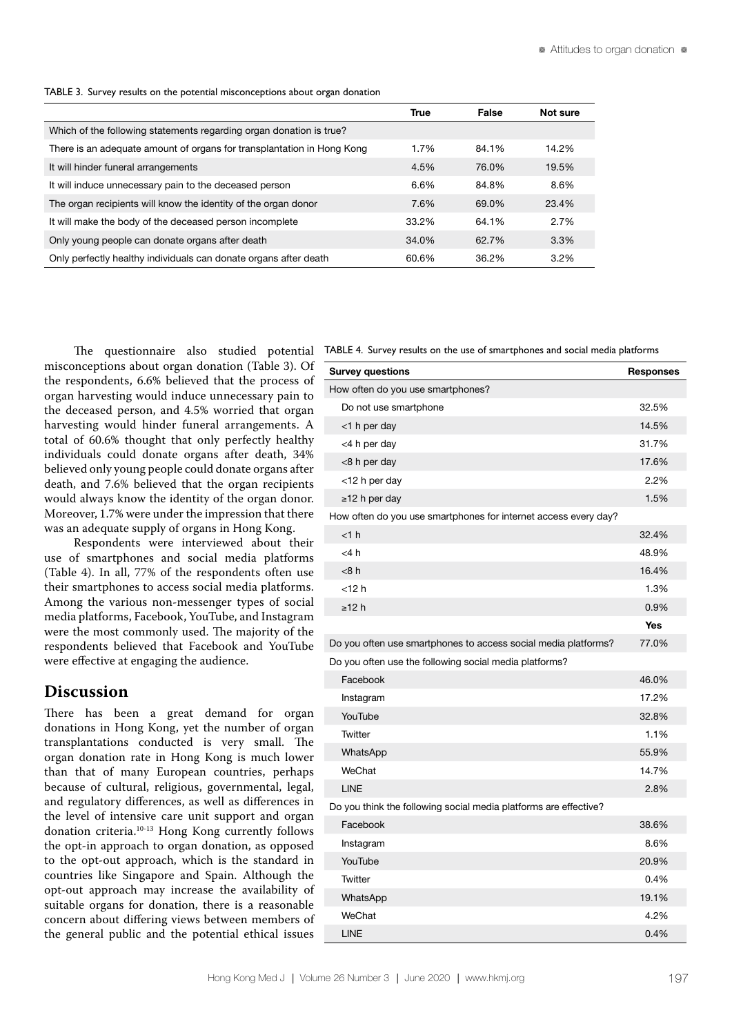|  |  |  |  | TABLE 3. Survey results on the potential misconceptions about organ donation |  |  |
|--|--|--|--|------------------------------------------------------------------------------|--|--|
|--|--|--|--|------------------------------------------------------------------------------|--|--|

|                                                                        | True  | False | Not sure |
|------------------------------------------------------------------------|-------|-------|----------|
| Which of the following statements regarding organ donation is true?    |       |       |          |
| There is an adequate amount of organs for transplantation in Hong Kong | 1.7%  | 84.1% | 14.2%    |
| It will hinder funeral arrangements                                    | 4.5%  | 76.0% | 19.5%    |
| It will induce unnecessary pain to the deceased person                 | 6.6%  | 84.8% | 8.6%     |
| The organ recipients will know the identity of the organ donor         | 7.6%  | 69.0% | 23.4%    |
| It will make the body of the deceased person incomplete                | 33.2% | 64.1% | 2.7%     |
| Only young people can donate organs after death                        | 34.0% | 62.7% | 3.3%     |
| Only perfectly healthy individuals can donate organs after death       | 60.6% | 36.2% | $3.2\%$  |

misconceptions about organ donation (Table 3). Of the respondents, 6.6% believed that the process of organ harvesting would induce unnecessary pain to the deceased person, and 4.5% worried that organ harvesting would hinder funeral arrangements. A total of 60.6% thought that only perfectly healthy individuals could donate organs after death, 34% believed only young people could donate organs after death, and 7.6% believed that the organ recipients would always know the identity of the organ donor. Moreover, 1.7% were under the impression that there was an adequate supply of organs in Hong Kong.

Respondents were interviewed about their use of smartphones and social media platforms (Table 4). In all, 77% of the respondents often use their smartphones to access social media platforms. Among the various non-messenger types of social media platforms, Facebook, YouTube, and Instagram were the most commonly used. The majority of the respondents believed that Facebook and YouTube were effective at engaging the audience.

### **Discussion**

There has been a great demand for organ donations in Hong Kong, yet the number of organ transplantations conducted is very small. The organ donation rate in Hong Kong is much lower than that of many European countries, perhaps because of cultural, religious, governmental, legal, and regulatory differences, as well as differences in the level of intensive care unit support and organ donation criteria.10-13 Hong Kong currently follows the opt-in approach to organ donation, as opposed to the opt-out approach, which is the standard in countries like Singapore and Spain. Although the opt-out approach may increase the availability of suitable organs for donation, there is a reasonable concern about differing views between members of the general public and the potential ethical issues

The questionnaire also studied potential TABLE 4. Survey results on the use of smartphones and social media platforms

| <b>Survey questions</b>                                          | <b>Responses</b> |
|------------------------------------------------------------------|------------------|
| How often do you use smartphones?                                |                  |
| Do not use smartphone                                            | 32.5%            |
| <1 h per day                                                     | 14.5%            |
| <4 h per day                                                     | 31.7%            |
| <8 h per day                                                     | 17.6%            |
| <12 h per day                                                    | 2.2%             |
| $\ge$ 12 h per day                                               | 1.5%             |
| How often do you use smartphones for internet access every day?  |                  |
| <1 h                                                             | 32.4%            |
| $<$ 4 $h$                                                        | 48.9%            |
| <8 h                                                             | 16.4%            |
| $<$ 12 $h$                                                       | 1.3%             |
| $\geq$ 12 h                                                      | 0.9%             |
|                                                                  | <b>Yes</b>       |
| Do you often use smartphones to access social media platforms?   | 77.0%            |
| Do you often use the following social media platforms?           |                  |
| Facebook                                                         | 46.0%            |
| Instagram                                                        | 17.2%            |
| YouTube                                                          | 32.8%            |
| Twitter                                                          | 1.1%             |
| WhatsApp                                                         | 55.9%            |
| WeChat                                                           | 14.7%            |
| <b>LINE</b>                                                      | 2.8%             |
| Do you think the following social media platforms are effective? |                  |
| Facebook                                                         | 38.6%            |
| Instagram                                                        | 8.6%             |
| YouTube                                                          | 20.9%            |
| Twitter                                                          | 0.4%             |
| WhatsApp                                                         | 19.1%            |
| WeChat                                                           | 4.2%             |
| <b>LINE</b>                                                      | 0.4%             |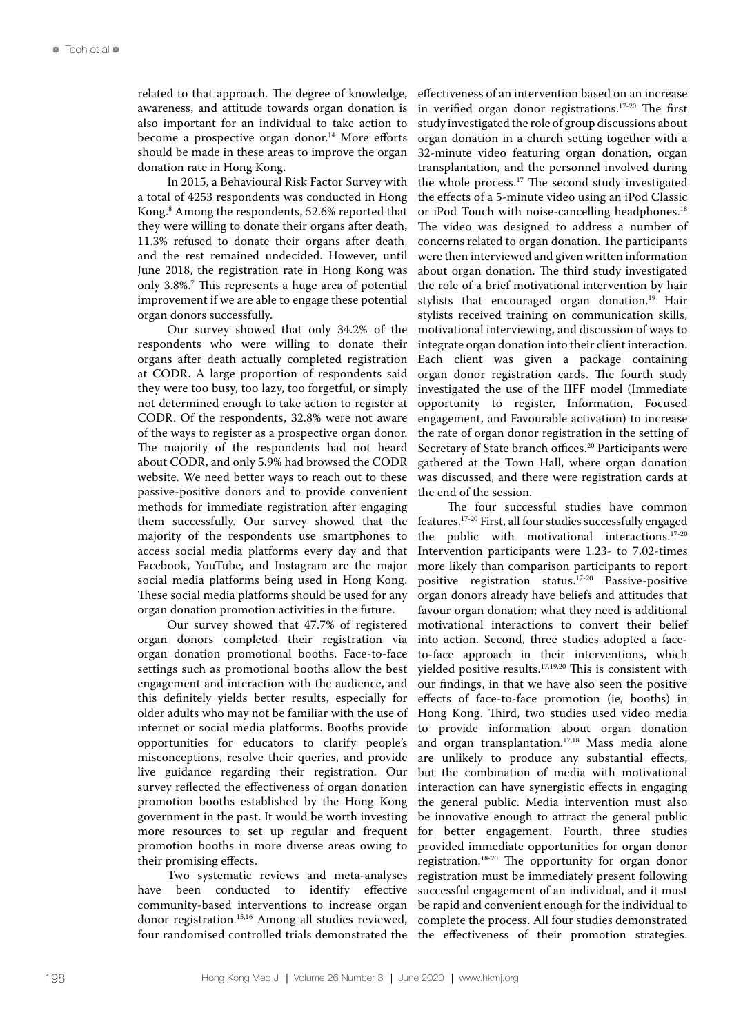related to that approach. The degree of knowledge, awareness, and attitude towards organ donation is also important for an individual to take action to become a prospective organ donor.<sup>14</sup> More efforts should be made in these areas to improve the organ donation rate in Hong Kong.

In 2015, a Behavioural Risk Factor Survey with a total of 4253 respondents was conducted in Hong Kong.8 Among the respondents, 52.6% reported that they were willing to donate their organs after death, 11.3% refused to donate their organs after death, and the rest remained undecided. However, until June 2018, the registration rate in Hong Kong was only 3.8%.7 This represents a huge area of potential improvement if we are able to engage these potential organ donors successfully.

Our survey showed that only 34.2% of the respondents who were willing to donate their organs after death actually completed registration at CODR. A large proportion of respondents said they were too busy, too lazy, too forgetful, or simply not determined enough to take action to register at CODR. Of the respondents, 32.8% were not aware of the ways to register as a prospective organ donor. The majority of the respondents had not heard about CODR, and only 5.9% had browsed the CODR website. We need better ways to reach out to these passive-positive donors and to provide convenient methods for immediate registration after engaging them successfully. Our survey showed that the majority of the respondents use smartphones to access social media platforms every day and that Facebook, YouTube, and Instagram are the major social media platforms being used in Hong Kong. These social media platforms should be used for any organ donation promotion activities in the future.

Our survey showed that 47.7% of registered organ donors completed their registration via organ donation promotional booths. Face-to-face settings such as promotional booths allow the best engagement and interaction with the audience, and this definitely yields better results, especially for older adults who may not be familiar with the use of internet or social media platforms. Booths provide opportunities for educators to clarify people's misconceptions, resolve their queries, and provide live guidance regarding their registration. Our survey reflected the effectiveness of organ donation promotion booths established by the Hong Kong government in the past. It would be worth investing more resources to set up regular and frequent promotion booths in more diverse areas owing to their promising effects.

Two systematic reviews and meta-analyses have been conducted to identify effective community-based interventions to increase organ donor registration.15,16 Among all studies reviewed, four randomised controlled trials demonstrated the effectiveness of an intervention based on an increase in verified organ donor registrations.17-20 The first study investigated the role of group discussions about organ donation in a church setting together with a 32-minute video featuring organ donation, organ transplantation, and the personnel involved during the whole process.17 The second study investigated the effects of a 5-minute video using an iPod Classic or iPod Touch with noise-cancelling headphones.<sup>18</sup> The video was designed to address a number of concerns related to organ donation. The participants were then interviewed and given written information about organ donation. The third study investigated the role of a brief motivational intervention by hair stylists that encouraged organ donation.<sup>19</sup> Hair stylists received training on communication skills, motivational interviewing, and discussion of ways to integrate organ donation into their client interaction. Each client was given a package containing organ donor registration cards. The fourth study investigated the use of the IIFF model (Immediate opportunity to register, Information, Focused engagement, and Favourable activation) to increase the rate of organ donor registration in the setting of Secretary of State branch offices.<sup>20</sup> Participants were gathered at the Town Hall, where organ donation was discussed, and there were registration cards at the end of the session.

The four successful studies have common features.17-20 First, all four studies successfully engaged the public with motivational interactions.17-20 Intervention participants were 1.23- to 7.02-times more likely than comparison participants to report positive registration status.17-20 Passive-positive organ donors already have beliefs and attitudes that favour organ donation; what they need is additional motivational interactions to convert their belief into action. Second, three studies adopted a faceto-face approach in their interventions, which yielded positive results.17,19,20 This is consistent with our findings, in that we have also seen the positive effects of face-to-face promotion (ie, booths) in Hong Kong. Third, two studies used video media to provide information about organ donation and organ transplantation.17,18 Mass media alone are unlikely to produce any substantial effects, but the combination of media with motivational interaction can have synergistic effects in engaging the general public. Media intervention must also be innovative enough to attract the general public for better engagement. Fourth, three studies provided immediate opportunities for organ donor registration.18-20 The opportunity for organ donor registration must be immediately present following successful engagement of an individual, and it must be rapid and convenient enough for the individual to complete the process. All four studies demonstrated the effectiveness of their promotion strategies.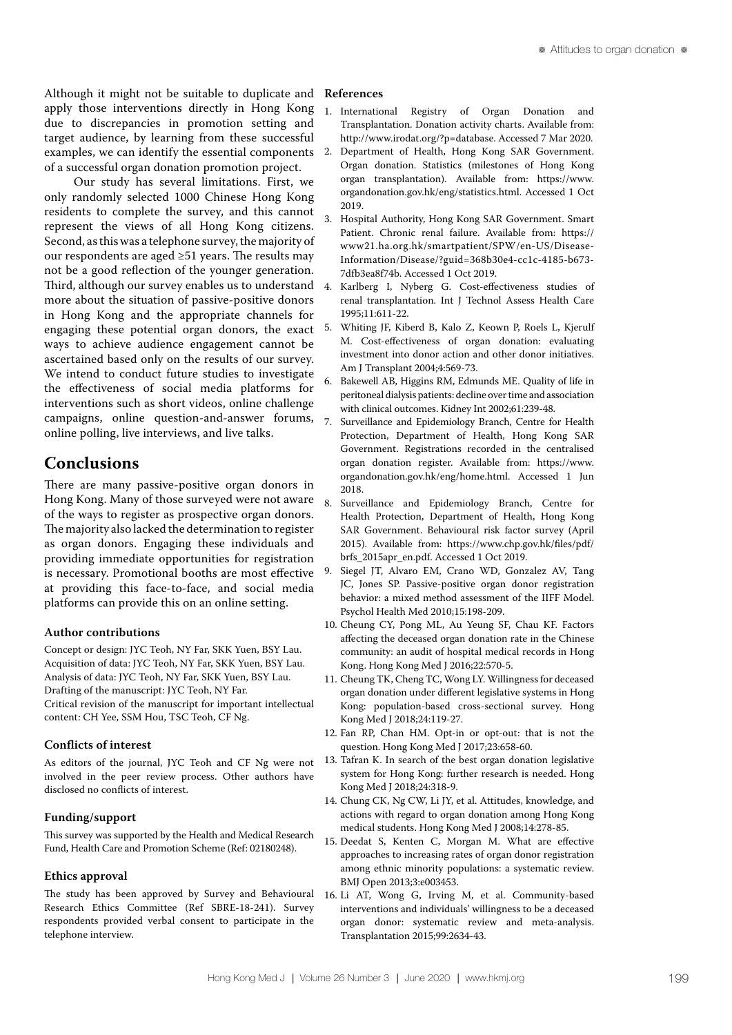Although it might not be suitable to duplicate and apply those interventions directly in Hong Kong due to discrepancies in promotion setting and target audience, by learning from these successful examples, we can identify the essential components 2. of a successful organ donation promotion project.

Our study has several limitations. First, we only randomly selected 1000 Chinese Hong Kong residents to complete the survey, and this cannot represent the views of all Hong Kong citizens. Second, as this was a telephone survey, the majority of our respondents are aged ≥51 years. The results may not be a good reflection of the younger generation. Third, although our survey enables us to understand more about the situation of passive-positive donors in Hong Kong and the appropriate channels for engaging these potential organ donors, the exact ways to achieve audience engagement cannot be ascertained based only on the results of our survey. We intend to conduct future studies to investigate the effectiveness of social media platforms for interventions such as short videos, online challenge campaigns, online question-and-answer forums, online polling, live interviews, and live talks.

### **Conclusions**

There are many passive-positive organ donors in Hong Kong. Many of those surveyed were not aware of the ways to register as prospective organ donors. The majority also lacked the determination to register as organ donors. Engaging these individuals and providing immediate opportunities for registration is necessary. Promotional booths are most effective at providing this face-to-face, and social media platforms can provide this on an online setting.

#### **Author contributions**

Concept or design: JYC Teoh, NY Far, SKK Yuen, BSY Lau. Acquisition of data: JYC Teoh, NY Far, SKK Yuen, BSY Lau. Analysis of data: JYC Teoh, NY Far, SKK Yuen, BSY Lau. Drafting of the manuscript: JYC Teoh, NY Far. Critical revision of the manuscript for important intellectual content: CH Yee, SSM Hou, TSC Teoh, CF Ng.

#### **Conflicts of interest**

As editors of the journal, JYC Teoh and CF Ng were not involved in the peer review process. Other authors have disclosed no conflicts of interest.

#### **Funding/support**

This survey was supported by the Health and Medical Research Fund, Health Care and Promotion Scheme (Ref: 02180248).

#### **Ethics approval**

The study has been approved by Survey and Behavioural Research Ethics Committee (Ref SBRE-18-241). Survey respondents provided verbal consent to participate in the telephone interview.

#### **References**

- 1. International Registry of Organ Donation and Transplantation. Donation activity charts. Available from: http://www.irodat.org/?p=database. Accessed 7 Mar 2020.
- 2. Department of Health, Hong Kong SAR Government. Organ donation. Statistics (milestones of Hong Kong organ transplantation). Available from: https://www. organdonation.gov.hk/eng/statistics.html. Accessed 1 Oct 2019.
- 3. Hospital Authority, Hong Kong SAR Government. Smart Patient. Chronic renal failure. Available from: https:// www21.ha.org.hk/smartpatient/SPW/en-US/Disease-Information/Disease/?guid=368b30e4-cc1c-4185-b673- 7dfb3ea8f74b. Accessed 1 Oct 2019.
- 4. Karlberg I, Nyberg G. Cost-effectiveness studies of renal transplantation. Int J Technol Assess Health Care 1995;11:611-22.
- 5. Whiting JF, Kiberd B, Kalo Z, Keown P, Roels L, Kjerulf M. Cost-effectiveness of organ donation: evaluating investment into donor action and other donor initiatives. Am J Transplant 2004;4:569-73.
- 6. Bakewell AB, Higgins RM, Edmunds ME. Quality of life in peritoneal dialysis patients: decline over time and association with clinical outcomes. Kidney Int 2002;61:239-48.
- 7. Surveillance and Epidemiology Branch, Centre for Health Protection, Department of Health, Hong Kong SAR Government. Registrations recorded in the centralised organ donation register. Available from: https://www. organdonation.gov.hk/eng/home.html. Accessed 1 Jun 2018.
- 8. Surveillance and Epidemiology Branch, Centre for Health Protection, Department of Health, Hong Kong SAR Government. Behavioural risk factor survey (April 2015). Available from: https://www.chp.gov.hk/files/pdf/ brfs\_2015apr\_en.pdf. Accessed 1 Oct 2019.
- 9. Siegel JT, Alvaro EM, Crano WD, Gonzalez AV, Tang JC, Jones SP. Passive-positive organ donor registration behavior: a mixed method assessment of the IIFF Model. Psychol Health Med 2010;15:198-209.
- 10. Cheung CY, Pong ML, Au Yeung SF, Chau KF. Factors affecting the deceased organ donation rate in the Chinese community: an audit of hospital medical records in Hong Kong. Hong Kong Med J 2016;22:570-5.
- 11. Cheung TK, Cheng TC, Wong LY. Willingness for deceased organ donation under different legislative systems in Hong Kong: population-based cross-sectional survey. Hong Kong Med J 2018;24:119-27.
- 12. Fan RP, Chan HM. Opt-in or opt-out: that is not the question. Hong Kong Med J 2017;23:658-60.
- 13. Tafran K. In search of the best organ donation legislative system for Hong Kong: further research is needed. Hong Kong Med J 2018;24:318-9.
- 14. Chung CK, Ng CW, Li JY, et al. Attitudes, knowledge, and actions with regard to organ donation among Hong Kong medical students. Hong Kong Med J 2008;14:278-85.
- 15. Deedat S, Kenten C, Morgan M. What are effective approaches to increasing rates of organ donor registration among ethnic minority populations: a systematic review. BMJ Open 2013;3:e003453.
- 16. Li AT, Wong G, Irving M, et al. Community-based interventions and individuals' willingness to be a deceased organ donor: systematic review and meta-analysis. Transplantation 2015;99:2634-43.